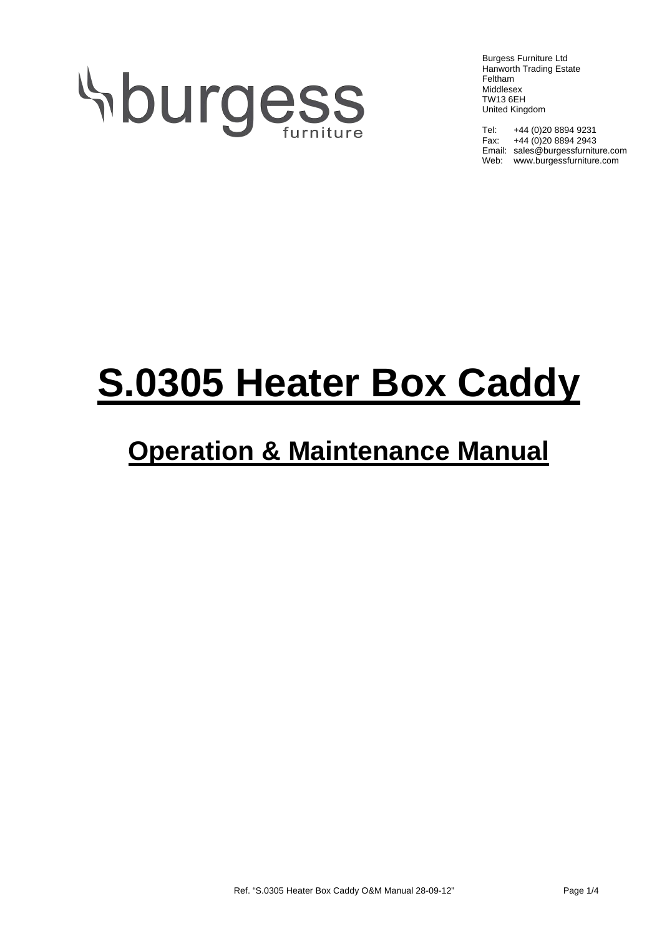# **Sburgess**

Burgess Furniture Ltd Hanworth Trading Estate Feltham Middlesex TW13 6EH United Kingdom

Tel: +44 (0)20 8894 9231 Fax: +44 (0)20 8894 2943 Email: sales@burgessfurniture.com Web: www.burgessfurniture.com

## **S.0305 Heater Box Caddy**

### **Operation & Maintenance Manual**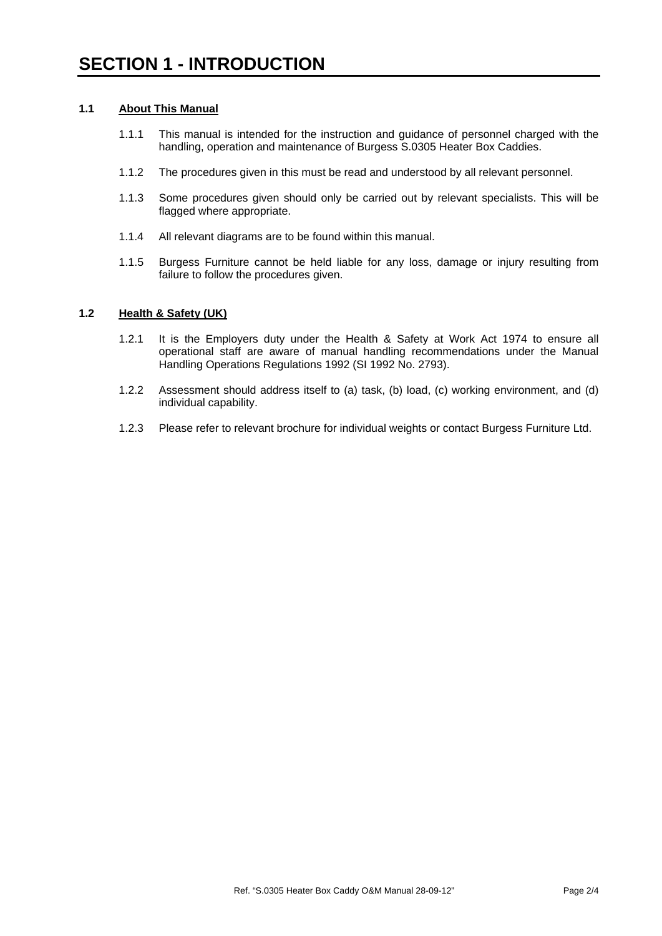#### **1.1 About This Manual**

- 1.1.1 This manual is intended for the instruction and guidance of personnel charged with the handling, operation and maintenance of Burgess S.0305 Heater Box Caddies.
- 1.1.2 The procedures given in this must be read and understood by all relevant personnel.
- 1.1.3 Some procedures given should only be carried out by relevant specialists. This will be flagged where appropriate.
- 1.1.4 All relevant diagrams are to be found within this manual.
- 1.1.5 Burgess Furniture cannot be held liable for any loss, damage or injury resulting from failure to follow the procedures given.

#### **1.2 Health & Safety (UK)**

- 1.2.1 It is the Employers duty under the Health & Safety at Work Act 1974 to ensure all operational staff are aware of manual handling recommendations under the Manual Handling Operations Regulations 1992 (SI 1992 No. 2793).
- 1.2.2 Assessment should address itself to (a) task, (b) load, (c) working environment, and (d) individual capability.
- 1.2.3 Please refer to relevant brochure for individual weights or contact Burgess Furniture Ltd.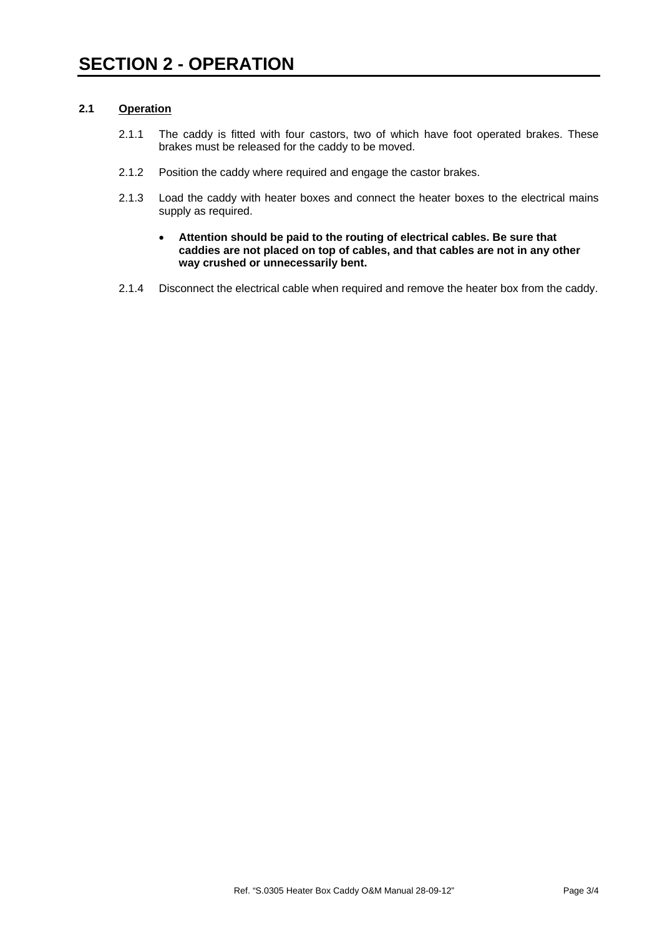#### **2.1 Operation**

- 2.1.1 The caddy is fitted with four castors, two of which have foot operated brakes. These brakes must be released for the caddy to be moved.
- 2.1.2 Position the caddy where required and engage the castor brakes.
- 2.1.3 Load the caddy with heater boxes and connect the heater boxes to the electrical mains supply as required.
	- **Attention should be paid to the routing of electrical cables. Be sure that caddies are not placed on top of cables, and that cables are not in any other way crushed or unnecessarily bent.**
- 2.1.4 Disconnect the electrical cable when required and remove the heater box from the caddy.